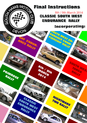# **Final Instructions**

HAMS MOTOR

DEVON

DRINGOSE

RAILLE

A Mike

 $\mathcal{C}$ 

င်ုပ္ပ

DAY ENDUR-

R

CLASSIC

SOUTH WEST

ENDURANCE

RALLY

 $\overline{\mathcal{U}}$ 

ANGE RALLY

8th / 9th March 2014 **CLASSIC SOUTH WEST** ENDURANCE **RALLY** 

POUTH VIIEST EN.

DURANGE CHAIN

NIGHTMARE

TIND RALLY

**AND** 

PIONSHIP RAILY

Bill Oil

 $\bullet$ 

WARCH

BOTA

# Incorporating:

SOUTH WEST

TARGA

RALLY

S'Ala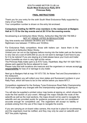#### SOUTH HAMS MOTOR CLUB Ltd. **South West Endurance Rally 2014 Primrose Rally**

# **FINAL INSTRUCTIONS**

Thank you for your entry for the sixth South West Endurance Rally supported by many of our friends.

Your competition number is shown on the entry list enclosed.

#### **Compulsory briefing for BOTH crew members in the restaurant at Badgers Halt at 11:15 for the day events and at 20:15 for the evening events.**

Scrutineering is at Ashburton Motor Works, Ashburton Map Ref 202 750 695.2 NOT AT VENUE LISTED IN REGULATIONS

Day time events now between 08:00hrs and 10:45hrs Nightmare now between 17:00hrs and 19:00hrs

For Endurance Rally competitors: those with trailers can leave them in the compound at Ashburton Motor Works.

Unload your car out on the highway before moving into the trailer park as the tarmac is very new at a cost of £200,000 so you do not want to damage it and have to pay for it to be redone! If you are staying at a hotel please leave your truck and trailer there if possible as room is very tight at this venue.

The Primrose Rally trailer park is at ATS Tyres, Heathfield, Map Ref 191 828 758.5 please park against the fence adjacent to road.

Please note that both locations are insecure and the organisers or venues accept **no responsibility** for loss of or damage to any trailer.

Next go to Badgers Halt at map 191 673 735, for Noise Test and Documentation in the restaurant.

At documentation you will collect your door plates and fluorescent numbers in your Rally Pack, which will have to be on the vehicle before you leave MTC1.

Competitors registered for the Sortway Tyres Endurance Road Rally Championship 2014 must register any changes with the championship organisers at signing-on.

You will also be supplied a printed colour map books at signing on, which shows the route the first section of your event. Although the maps indicate the route of the selectifs as well as the road sections, the maps should not be used to navigate the selectifs and are provided purely for guidance purposes and are not considered accurate enough for competitive use. The organisers will accept no liability or protests arising from the use of the maps to navigate the events.

If you are carrying an on-board video camera, this must be in place for scrutineering and the organisers must be notified, and they may only be used on selectifs and NOT the public highway.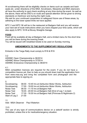At scrutineering there will be eligibility checks on items such as carpets and back seats etc. under directions of the MSA. Scrutineers, Stewards and MSA obersvers all have the authority to spot check anything at any time during the event. As well as the above, there will be DSO's on route and special attention will be given to driving standards on Dartmoor and during the night route.

We ask for your continued cooperation to safeguard future use of these areas, by adhering to the lower speed limits we have applied.

MTC 2 and MTC 56 will be in the restaurant at Badgers Halt and you will receive your next set of route instructions when you have chipped your time cards, which will also apply to MTC 18 IN at Bovey Straights Garage.

# **FOOD**

Food will be available all day at Badgers Halt, and a limited menu for the short time you will be there during the evening break.

You will be issued with breakfast tickets to be used on Sunday morning.

# **AMENDMENTS TO THE SUPPLEMENTARY REGULATIONS**

Entrants in the Targa Rally must comply to R18 & R19

3.2 ASWMC Open Championship is 36/2014 ASWMC Noive Championship is 37/2014 ASWMC Endurance Championship is 38/2014

#### 4.1

MSA competition licences are required for the event. If you do not have a competition licence yet, then to help us you should down load the application form from www.msa.org and bring the completed form and photograph and the appropriate fees to signing on.

# 5

Scrutineering 08:00 - 10:45 hrs at Ashburton Motor Works, Ashburton Scrutineering 17:00 - 19:00 hrs at Ashburton Motor Works, Ashburton Noise Test 08:30 - 11:15 hrs at Badgers Halt Noise Test 18:45 - 20:00 hrs at Badgers Halt (End of Leg 1 re-test) Noise Test 17:30 - 19:30 hrs at Badgers Halt (Primrose & Nightmare 2) Start of Leg 2 21:00

11

Add: MSA Observer Paul Waterton

#### 13.5

The use of any type of communications device on a selectif section is strictly prohibited, unless this is for medical/emergency situation.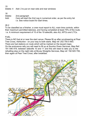15

Delete: 4 Add: 2 to put on near side and rear windows

16

Delete: 2nd paragraph

Add: Cars will start the 2nd Leg in numerical order, as per the entry list i.e. See notice board for start times.

# 26.2

To be classified as a finisher, a crew must report to ALL main time controls, within their maximum permitted lateness, and having completed at least 75% of the route. i.e. A minimum requirement of 15 of the 19 selectifs, also ALL MTCs and LTCs.

# FUEL

There is NO fuel at or near the start venue. Please fill up after scrutineering at Pear Tree Cross, Ashburton - on your way to both starts. Map ref: 202 750.5 693. There are fuel stations on route which will be marked on the issued maps. On the endurance rally you will need to fill up at Sourton Down Services, Map Ref: 191 546 919, between selectifs 10 and 11 and this will need to take you to the refuelling stop on the night rally at Bovey Straights Services, Map ref: 192 825 759, then again at Pear Tree Cross, after breakfast.

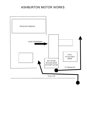# ASHBURTON MOTOR WORKS